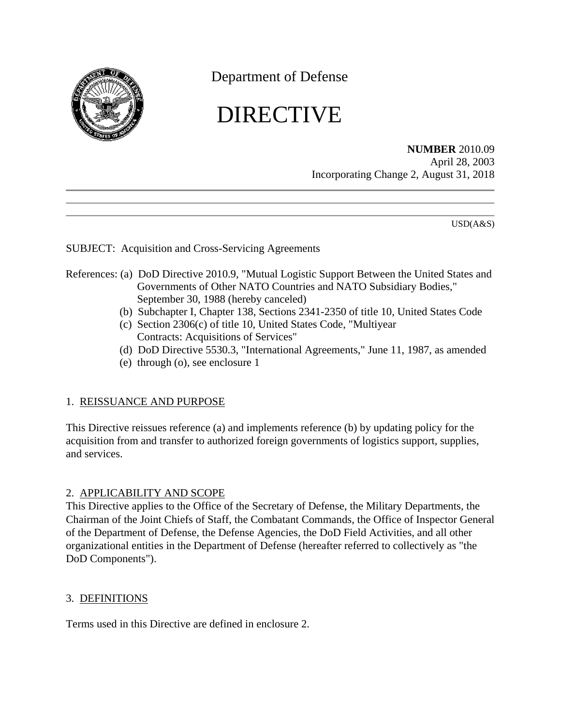

Department of Defense

# DIRECTIVE

**NUMBER** 2010.09 April 28, 2003 Incorporating Change 2, August 31, 2018

USD(A&S)

### SUBJECT: Acquisition and Cross-Servicing Agreements

# <span id="page-0-1"></span><span id="page-0-0"></span>References: (a) DoD Directive 2010.9, "Mutual Logistic Support Between the United States and Governments of Other NATO Countries and NATO Subsidiary Bodies," September 30, 1988 (hereby canceled)

- (b) Subchapter I, Chapter 138, Sections 2341-2350 of title 10, United States Code
- (c) Section 2306(c) of title 10, United States Code, "Multiyear Contracts: Acquisitions of Services"
- (d) DoD Directive 5530.3, "International Agreements," June 11, 1987, as amended
- (e) through (o), see enclosure 1

## <span id="page-0-2"></span>1. REISSUANCE AND PURPOSE

This Directive reissues reference (a) and implements reference (b) by updating policy for the acquisition from and transfer to authorized foreign governments of logistics support, supplies, and services.

#### 2. APPLICABILITY AND SCOPE

This Directive applies to the Office of the Secretary of Defense, the Military Departments, the Chairman of the Joint Chiefs of Staff, the Combatant Commands, the Office of Inspector General of the Department of Defense, the Defense Agencies, the DoD Field Activities, and all other organizational entities in the Department of Defense (hereafter referred to collectively as "the DoD Components").

#### 3. DEFINITIONS

Terms used in this Directive are defined in enclosure 2.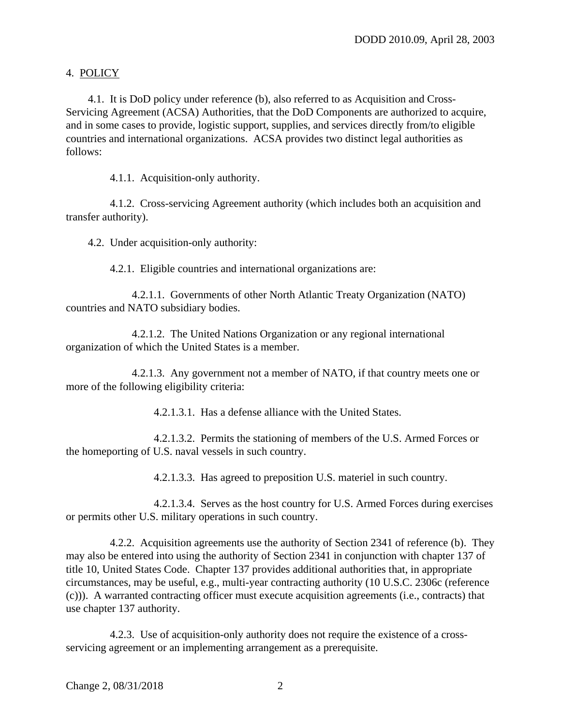### 4. POLICY

4.1. It is DoD policy under reference (b), also referred to as Acquisition and Cross-Servicing Agreement (ACSA) Authorities, that the DoD Components are authorized to acquire, and in some cases to provide, logistic support, supplies, and services directly from/to eligible countries and international organizations. ACSA provides two distinct legal authorities as follows:

4.1.1. Acquisition-only authority.

4.1.2. Cross-servicing Agreement authority (which includes both an acquisition and transfer authority).

4.2. Under acquisition-only authority:

4.2.1. Eligible countries and international organizations are:

4.2.1.1. Governments of other North Atlantic Treaty Organization (NATO) countries and NATO subsidiary bodies.

4.2.1.2. The United Nations Organization or any regional international organization of which the United States is a member.

<span id="page-1-0"></span>4.2.1.3. Any government not a member of NATO, if that country meets one or more of the following eligibility criteria:

4.2.1.3.1. Has a defense alliance with the United States.

4.2.1.3.2. Permits the stationing of members of the U.S. Armed Forces or the homeporting of U.S. naval vessels in such country.

4.2.1.3.3. Has agreed to preposition U.S. materiel in such country.

4.2.1.3.4. Serves as the host country for U.S. Armed Forces during exercises or permits other U.S. military operations in such country.

4.2.2.Acquisition agreements use the authority of Section 2341 of reference (b). They may also be entered into using the authority of Section 2341 in conjunction with chapter 137 of title 10, United States Code. Chapter 137 provides additional authorities that, in appropriate circumstances, may be useful, e.g., multi-year contracting authority (10 U.S.C. 2306c [\(reference](#page-0-1)  [\(c\)\)\).](#page-0-1) A warranted contracting officer must execute acquisition agreements (i.e., contracts) that use chapter 137 authority.

4.2.3. Use of acquisition-only authority does not require the existence of a crossservicing agreement or an implementing arrangement as a prerequisite.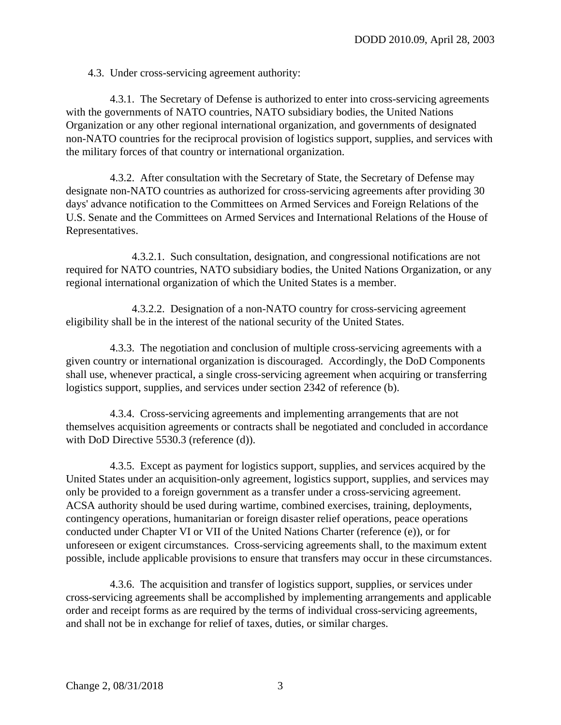4.3. Under cross-servicing agreement authority:

4.3.1. The Secretary of Defense is authorized to enter into cross-servicing agreements with the governments of NATO countries, NATO subsidiary bodies, the United Nations Organization or any other regional international organization, and governments of designated non-NATO countries for the reciprocal provision of logistics support, supplies, and services with the military forces of that country or international organization.

4.3.2. After consultation with the Secretary of State, the Secretary of Defense may designate non-NATO countries as authorized for cross-servicing agreements after providing 30 days' advance notification to the Committees on Armed Services and Foreign Relations of the U.S. Senate and the Committees on Armed Services and International Relations of the House of Representatives.

4.3.2.1. Such consultation, designation, and congressional notifications are not required for NATO countries, NATO subsidiary bodies, the United Nations Organization, or any regional international organization of which the United States is a member.

4.3.2.2. Designation of a non-NATO country for cross-servicing agreement eligibility shall be in the interest of the national security of the United States.

4.3.3. The negotiation and conclusion of multiple cross-servicing agreements with a given country or international organization is discouraged. Accordingly, the DoD Components shall use, whenever practical, a single cross-servicing agreement when acquiring or transferring logistics support, supplies, and services under section 2342 of [reference \(b\).](#page-0-0)

4.3.4. Cross-servicing agreements and implementing arrangements that are not themselves acquisition agreements or contracts shall be negotiated and concluded in accordance with DoD Directive 5530.3 [\(reference \(d\)\).](#page-0-2)

4.3.5. Except as payment for logistics support, supplies, and services acquired by the United States under an acquisition-only agreement, logistics support, supplies, and services may only be provided to a foreign government as a transfer under a cross-servicing agreement. ACSA authority should be used during wartime, combined exercises, training, deployments, contingency operations, humanitarian or foreign disaster relief operations, peace operations conducted under Chapter VI or VII of the United Nations Charter [\(reference \(e\)\),](#page-10-0) or for unforeseen or exigent circumstances. Cross-servicing agreements shall, to the maximum extent possible, include applicable provisions to ensure that transfers may occur in these circumstances.

4.3.6. The acquisition and transfer of logistics support, supplies, or services under cross-servicing agreements shall be accomplished by implementing arrangements and applicable order and receipt forms as are required by the terms of individual cross-servicing agreements, and shall not be in exchange for relief of taxes, duties, or similar charges.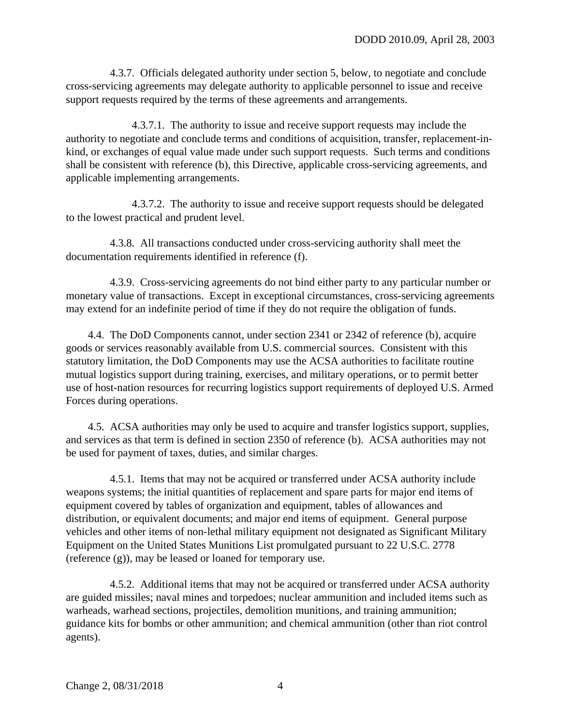4.3.7. Officials delegated authority under [section 5,](#page-5-0) below, to negotiate and conclude cross-servicing agreements may delegate authority to applicable personnel to issue and receive support requests required by the terms of these agreements and arrangements.

4.3.7.1. The authority to issue and receive support requests may include the authority to negotiate and conclude terms and conditions of acquisition, transfer, replacement-inkind, or exchanges of equal value made under such support requests. Such terms and conditions shall be consistent with [reference \(b\),](#page-0-0) this Directive, applicable cross-servicing agreements, and applicable implementing arrangements.

4.3.7.2. The authority to issue and receive support requests should be delegated to the lowest practical and prudent level.

4.3.8. All transactions conducted under cross-servicing authority shall meet the documentation requirements identified in [reference \(f\).](#page-10-1)

4.3.9. Cross-servicing agreements do not bind either party to any particular number or monetary value of transactions. Except in exceptional circumstances, cross-servicing agreements may extend for an indefinite period of time if they do not require the obligation of funds.

4.4. The DoD Components cannot, under section 2341 or 2342 of [reference \(b\),](#page-0-0) acquire goods or services reasonably available from U.S. commercial sources. Consistent with this statutory limitation, the DoD Components may use the ACSA authorities to facilitate routine mutual logistics support during training, exercises, and military operations, or to permit better use of host-nation resources for recurring logistics support requirements of deployed U.S. Armed Forces during operations.

4.5. ACSA authorities may only be used to acquire and transfer logistics support, supplies, and services as that term is defined in section 2350 of [reference \(b\).](#page-0-0) ACSA authorities may not be used for payment of taxes, duties, and similar charges.

4.5.1. Items that may not be acquired or transferred under ACSA authority include weapons systems; the initial quantities of replacement and spare parts for major end items of equipment covered by tables of organization and equipment, tables of allowances and distribution, or equivalent documents; and major end items of equipment. General purpose vehicles and other items of non-lethal military equipment not designated as Significant Military Equipment on the United States Munitions List promulgated pursuant to 22 U.S.C. 2778 [\(reference \(g\)\),](#page-10-2) may be leased or loaned for temporary use.

4.5.2. Additional items that may not be acquired or transferred under ACSA authority are guided missiles; naval mines and torpedoes; nuclear ammunition and included items such as warheads, warhead sections, projectiles, demolition munitions, and training ammunition; guidance kits for bombs or other ammunition; and chemical ammunition (other than riot control agents).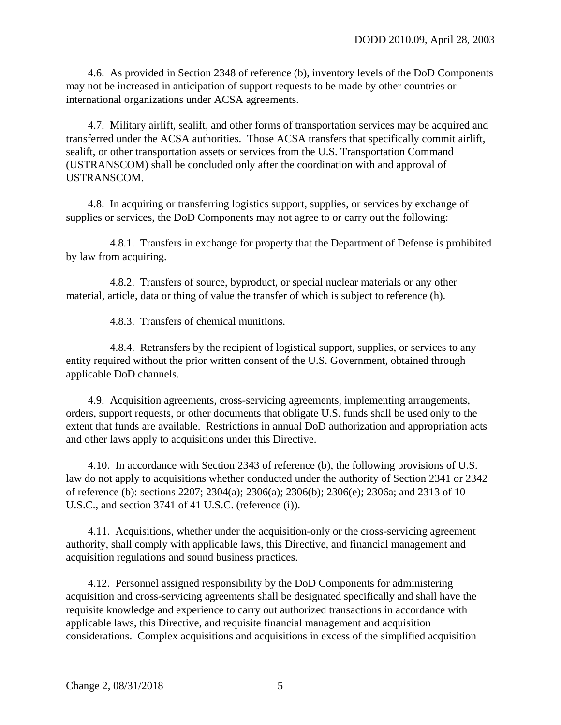4.6. As provided in Section 2348 of reference (b), inventory levels of the DoD Components may not be increased in anticipation of support requests to be made by other countries or international organizations under ACSA agreements.

4.7. Military airlift, sealift, and other forms of transportation services may be acquired and transferred under the ACSA authorities. Those ACSA transfers that specifically commit airlift, sealift, or other transportation assets or services from the U.S. Transportation Command (USTRANSCOM) shall be concluded only after the coordination with and approval of USTRANSCOM.

4.8. In acquiring or transferring logistics support, supplies, or services by exchange of supplies or services, the DoD Components may not agree to or carry out the following:

4.8.1. Transfers in exchange for property that the Department of Defense is prohibited by law from acquiring.

4.8.2. Transfers of source, byproduct, or special nuclear materials or any other material, article, data or thing of value the transfer of which is subject to reference (h).

4.8.3. Transfers of chemical munitions.

4.8.4. Retransfers by the recipient of logistical support, supplies, or services to any entity required without the prior written consent of the U.S. Government, obtained through applicable DoD channels.

4.9. Acquisition agreements, cross-servicing agreements, implementing arrangements, orders, support requests, or other documents that obligate U.S. funds shall be used only to the extent that funds are available. Restrictions in annual DoD authorization and appropriation acts and other laws apply to acquisitions under this Directive.

4.10.In accordance with Section 2343 of reference  $(b)$ , the following provisions of U.S. law do not apply to acquisitions whether conducted under the authority of Section 2341 or 2342 of reference (b): sections 2207; 2304(a); 2306(a); 2306(b); 2306(e); 2306a; and 2313 of 10 U.S.C., and section 3741 of 41 U.S.C. [\(reference \(i\)\).](#page-10-3)

4.11. Acquisitions, whether under the acquisition-only or the cross-servicing agreement authority, shall comply with applicable laws, this Directive, and financial management and acquisition regulations and sound business practices.

4.12. Personnel assigned responsibility by the DoD Components for administering acquisition and cross-servicing agreements shall be designated specifically and shall have the requisite knowledge and experience to carry out authorized transactions in accordance with applicable laws, this Directive, and requisite financial management and acquisition considerations. Complex acquisitions and acquisitions in excess of the simplified acquisition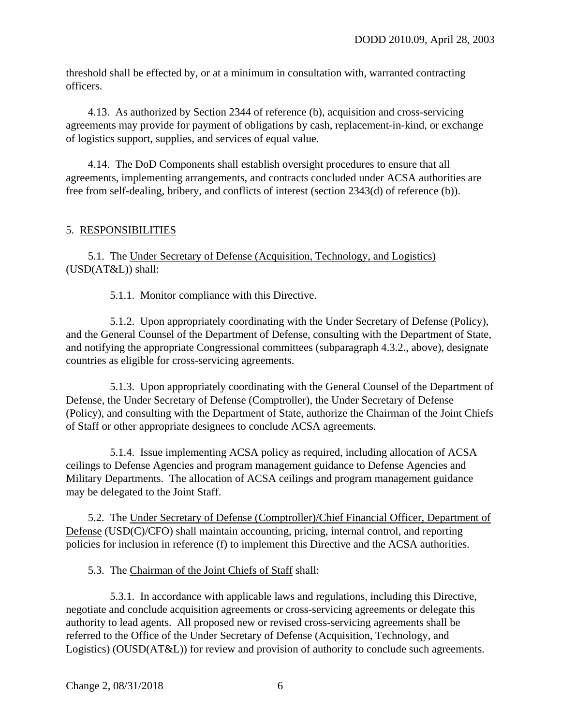threshold shall be effected by, or at a minimum in consultation with, warranted contracting officers.

4.13. As authorized by Section 2344 of [reference \(b\),](#page-0-0) acquisition and cross-servicing agreements may provide for payment of obligations by cash, replacement-in-kind, or exchange of logistics support, supplies, and services of equal value.

<span id="page-5-1"></span>4.14. The DoD Components shall establish oversight procedures to ensure that all agreements, implementing arrangements, and contracts concluded under ACSA authorities are free from self-dealing, bribery, and conflicts of interest (section 2343(d) of [reference \(b\)\).](#page-0-0)

### <span id="page-5-0"></span>5. RESPONSIBILITIES

5.1. The Under Secretary of Defense (Acquisition, Technology, and Logistics) (USD(AT&L)) shall:

5.1.1. Monitor compliance with this Directive.

5.1.2. Upon appropriately coordinating with the Under Secretary of Defense (Policy), and the General Counsel of the Department of Defense, consulting with the Department of State, and notifying the appropriate Congressional committees (subparagraph 4.3.2., above), designate countries as eligible for cross-servicing agreements.

5.1.3. Upon appropriately coordinating with the General Counsel of the Department of Defense, the Under Secretary of Defense (Comptroller), the Under Secretary of Defense (Policy), and consulting with the Department of State, authorize the Chairman of the Joint Chiefs of Staff or other appropriate designees to conclude ACSA agreements.

5.1.4. Issue implementing ACSA policy as required, including allocation of ACSA ceilings to Defense Agencies and program management guidance to Defense Agencies and Military Departments. The allocation of ACSA ceilings and program management guidance may be delegated to the Joint Staff.

5.2. The Under Secretary of Defense (Comptroller)/Chief Financial Officer, Department of Defense (USD(C)/CFO) shall maintain accounting, pricing, internal control, and reporting policies for inclusion in reference (f) to implement this Directive and the ACSA authorities.

5.3. The Chairman of the Joint Chiefs of Staff shall:

5.3.1. In accordance with applicable laws and regulations, including this Directive, negotiate and conclude acquisition agreements or cross-servicing agreements or delegate this authority to lead agents. All proposed new or revised cross-servicing agreements shall be referred to the Office of the Under Secretary of Defense (Acquisition, Technology, and Logistics) (OUSD(AT&L)) for review and provision of authority to conclude such agreements.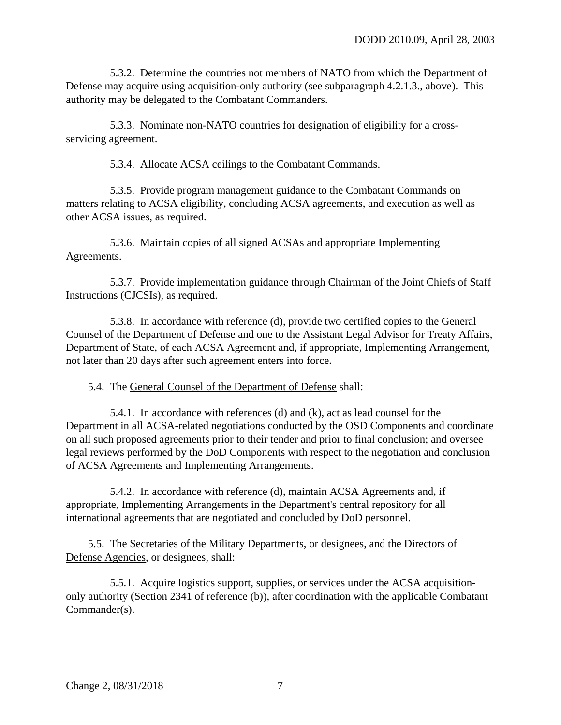5.3.2. Determine the countries not members of NATO from which the Department of Defense may acquire using acquisition-only authority (see subparagraph 4.2.1.3., above). This authority may be delegated to the Combatant Commanders.

5.3.3. Nominate non-NATO countries for designation of eligibility for a crossservicing agreement.

5.3.4. Allocate ACSA ceilings to the Combatant Commands.

5.3.5. Provide program management guidance to the Combatant Commands on matters relating to ACSA eligibility, concluding ACSA agreements, and execution as well as other ACSA issues, as required.

5.3.6. Maintain copies of all signed ACSAs and appropriate Implementing Agreements.

5.3.7. Provide implementation guidance through Chairman of the Joint Chiefs of Staff Instructions (CJCSIs), as required.

5.3.8. In accordance with reference (d), provide two certified copies to the General Counsel of the Department of Defense and one to the Assistant Legal Advisor for Treaty Affairs, Department of State, of each ACSA Agreement and, if appropriate, Implementing Arrangement, not later than 20 days after such agreement enters into force.

5.4. The General Counsel of the Department of Defense shall:

5.4.1. In accordance with references (d) and (k), act as lead counsel for the Department in all ACSA-related negotiations conducted by the OSD Components and coordinate on all such proposed agreements prior to their tender and prior to final conclusion; and oversee legal reviews performed by the DoD Components with respect to the negotiation and conclusion of ACSA Agreements and Implementing Arrangements.

5.4.2. In accordance with reference (d), maintain ACSA Agreements and, if appropriate, Implementing Arrangements in the Department's central repository for all international agreements that are negotiated and concluded by DoD personnel.

5.5. The Secretaries of the Military Departments, or designees, and the Directors of Defense Agencies, or designees, shall:

5.5.1. Acquire logistics support, supplies, or services under the ACSA acquisitiononly authority (Section 2341 of reference (b)), after coordination with the applicable Combatant Commander(s).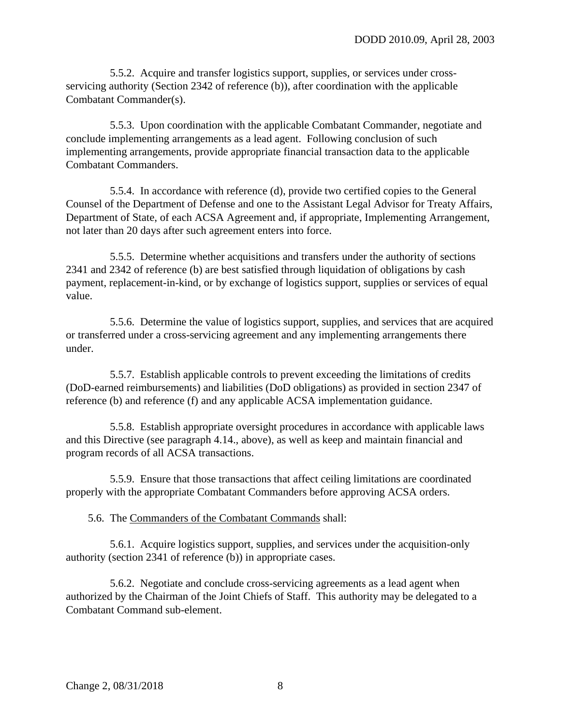5.5.2. Acquire and transfer logistics support, supplies, or services under crossservicing authority (Section 2342 of reference (b)), after coordination with the applicable Combatant Commander(s).

5.5.3. Upon coordination with the applicable Combatant Commander, negotiate and conclude implementing arrangements as a lead agent. Following conclusion of such implementing arrangements, provide appropriate financial transaction data to the applicable Combatant Commanders.

5.5.4. In accordance with reference (d), provide two certified copies to the General Counsel of the Department of Defense and one to the Assistant Legal Advisor for Treaty Affairs, Department of State, of each ACSA Agreement and, if appropriate, Implementing Arrangement, not later than 20 days after such agreement enters into force.

5.5.5. Determine whether acquisitions and transfers under the authority of sections 2341 and 2342 of reference (b) are best satisfied through liquidation of obligations by cash payment, replacement-in-kind, or by exchange of logistics support, supplies or services of equal value.

5.5.6. Determine the value of logistics support, supplies, and services that are acquired or transferred under a cross-servicing agreement and any implementing arrangements there under.

5.5.7. Establish applicable controls to prevent exceeding the limitations of credits (DoD-earned reimbursements) and liabilities (DoD obligations) as provided in section 2347 of [reference \(b\)](#page-0-0) and [reference \(f\)](#page-10-1) and any applicable ACSA implementation guidance.

5.5.8. Establish appropriate oversight procedures in accordance with applicable laws and this Directive (see [paragraph 4.14.,](#page-5-1) above), as well as keep and maintain financial and program records of all ACSA transactions.

5.5.9. Ensure that those transactions that affect ceiling limitations are coordinated properly with the appropriate Combatant Commanders before approving ACSA orders.

5.6. The Commanders of the Combatant Commands shall:

5.6.1. Acquire logistics support, supplies, and services under the acquisition-only authority (section 2341 of reference (b)) in appropriate cases.

5.6.2. Negotiate and conclude cross-servicing agreements as a lead agent when authorized by the Chairman of the Joint Chiefs of Staff. This authority may be delegated to a Combatant Command sub-element.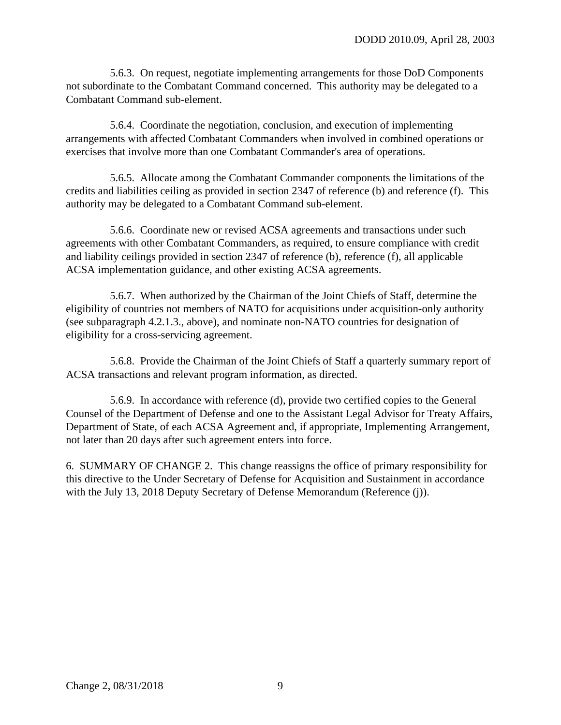5.6.3. On request, negotiate implementing arrangements for those DoD Components not subordinate to the Combatant Command concerned. This authority may be delegated to a Combatant Command sub-element.

5.6.4. Coordinate the negotiation, conclusion, and execution of implementing arrangements with affected Combatant Commanders when involved in combined operations or exercises that involve more than one Combatant Commander's area of operations.

5.6.5. Allocate among the Combatant Commander components the limitations of the credits and liabilities ceiling as provided in section 2347 of [reference \(b\)](#page-0-0) and [reference \(f\).](#page-10-1) This authority may be delegated to a Combatant Command sub-element.

5.6.6. Coordinate new or revised ACSA agreements and transactions under such agreements with other Combatant Commanders, as required, to ensure compliance with credit and liability ceilings provided in section 2347 of [reference \(b\),](#page-0-0) [reference \(f\),](#page-10-1) all applicable ACSA implementation guidance, and other existing ACSA agreements.

5.6.7. When authorized by the Chairman of the Joint Chiefs of Staff, determine the eligibility of countries not members of NATO for acquisitions under acquisition-only authority (see [subparagraph 4.2.1.3.,](#page-1-0) above), and nominate non-NATO countries for designation of eligibility for a cross-servicing agreement.

5.6.8. Provide the Chairman of the Joint Chiefs of Staff a quarterly summary report of ACSA transactions and relevant program information, as directed.

5.6.9. In accordance with [reference \(d\),](#page-0-2) provide two certified copies to the General Counsel of the Department of Defense and one to the Assistant Legal Advisor for Treaty Affairs, Department of State, of each ACSA Agreement and, if appropriate, Implementing Arrangement, not later than 20 days after such agreement enters into force.

6. SUMMARY OF CHANGE 2. This change reassigns the office of primary responsibility for this directive to the Under Secretary of Defense for Acquisition and Sustainment in accordance with the July 13, 2018 Deputy Secretary of Defense Memorandum (Reference (j)).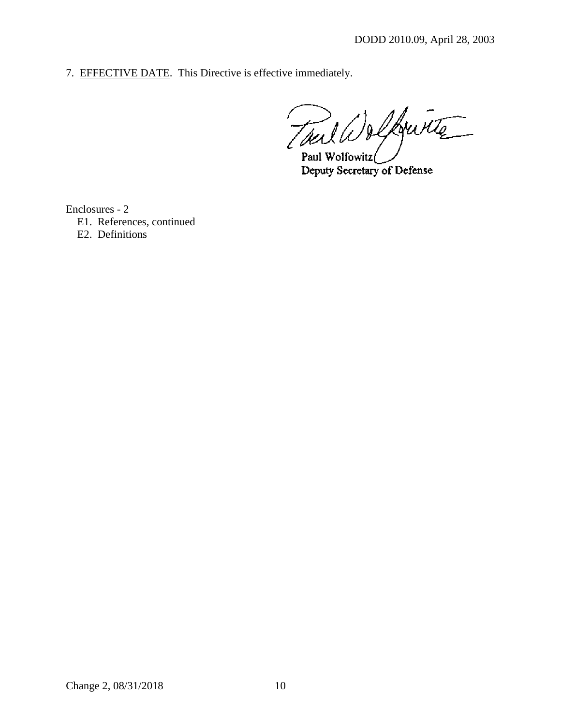7. EFFECTIVE DATE. This Directive is effective immediately.

Tuil Delfourte Paul Wolfowitz

Deputy Secretary of Defense

Enclosures - 2

E1. References, continued

E2. Definitions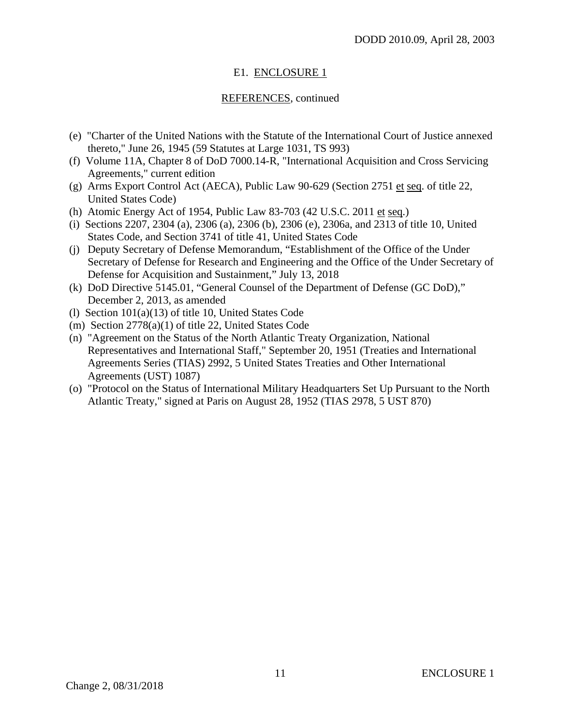## E1. ENCLOSURE 1

### REFERENCES, continued

- <span id="page-10-0"></span>(e) "Charter of the United Nations with the Statute of the International Court of Justice annexed thereto," June 26, 1945 (59 Statutes at Large 1031, TS 993)
- <span id="page-10-1"></span>(f) Volume 11A, Chapter 8 of DoD 7000.14-R, "International Acquisition and Cross Servicing Agreements," current edition
- <span id="page-10-2"></span>(g) Arms Export Control Act (AECA), Public Law 90-629 (Section 2751 et seq. of title 22, United States Code)
- (h) Atomic Energy Act of 1954, Public Law 83-703 (42 U.S.C. 2011 et seq.)
- <span id="page-10-3"></span>(i) Sections 2207, 2304 (a), 2306 (a), 2306 (b), 2306 (e), 2306a, and 2313 of title 10, United States Code, and Section 3741 of title 41, United States Code
- (j) Deputy Secretary of Defense Memorandum, "Establishment of the Office of the Under Secretary of Defense for Research and Engineering and the Office of the Under Secretary of Defense for Acquisition and Sustainment," July 13, 2018
- (k) DoD Directive 5145.01, "General Counsel of the Department of Defense (GC DoD)," December 2, 2013, as amended
- (l) Section 101(a)(13) of title 10, United States Code
- (m) Section 2778(a)(1) of title 22, United States Code
- (n) "Agreement on the Status of the North Atlantic Treaty Organization, National Representatives and International Staff," September 20, 1951 (Treaties and International Agreements Series (TIAS) 2992, 5 United States Treaties and Other International Agreements (UST) 1087)
- (o) "Protocol on the Status of International Military Headquarters Set Up Pursuant to the North Atlantic Treaty," signed at Paris on August 28, 1952 (TIAS 2978, 5 UST 870)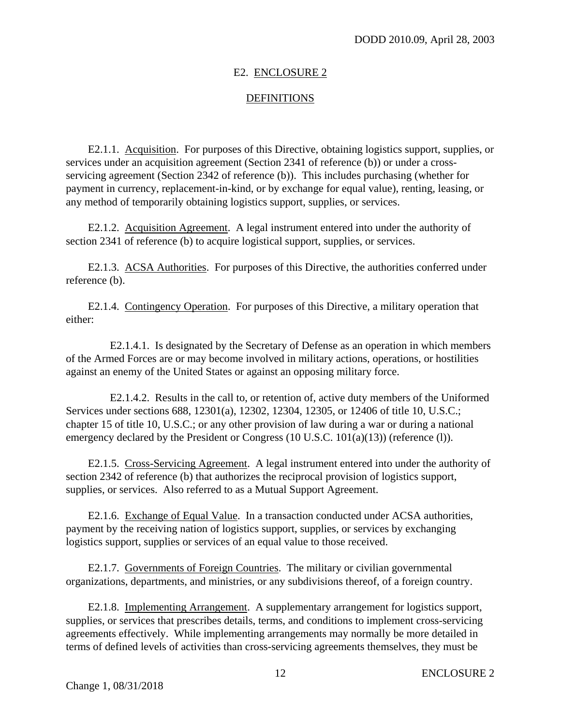### E2. ENCLOSURE 2

## **DEFINITIONS**

E2.1.1. Acquisition. For purposes of this Directive, obtaining logistics support, supplies, or services under an acquisition agreement (Section 2341 of reference (b)) or under a crossservicing agreement (Section 2342 of reference (b)). This includes purchasing (whether for payment in currency, replacement-in-kind, or by exchange for equal value), renting, leasing, or any method of temporarily obtaining logistics support, supplies, or services.

E2.1.2. Acquisition Agreement. A legal instrument entered into under the authority of section 2341 of reference (b) to acquire logistical support, supplies, or services.

E2.1.3. ACSA Authorities. For purposes of this Directive, the authorities conferred under reference (b).

E2.1.4. Contingency Operation. For purposes of this Directive, a military operation that either:

E2.1.4.1. Is designated by the Secretary of Defense as an operation in which members of the Armed Forces are or may become involved in military actions, operations, or hostilities against an enemy of the United States or against an opposing military force.

E2.1.4.2. Results in the call to, or retention of, active duty members of the Uniformed Services under sections 688, 12301(a), 12302, 12304, 12305, or 12406 of title 10, U.S.C.; chapter 15 of title 10, U.S.C.; or any other provision of law during a war or during a national emergency declared by the President or Congress (10 U.S.C. 101(a)(13)) (reference (1)).

E2.1.5. Cross-Servicing Agreement. A legal instrument entered into under the authority of section 2342 of reference (b) that authorizes the reciprocal provision of logistics support, supplies, or services. Also referred to as a Mutual Support Agreement.

E2.1.6. Exchange of Equal Value. In a transaction conducted under ACSA authorities, payment by the receiving nation of logistics support, supplies, or services by exchanging logistics support, supplies or services of an equal value to those received.

E2.1.7. Governments of Foreign Countries. The military or civilian governmental organizations, departments, and ministries, or any subdivisions thereof, of a foreign country.

E2.1.8. Implementing Arrangement. A supplementary arrangement for logistics support, supplies, or services that prescribes details, terms, and conditions to implement cross-servicing agreements effectively. While implementing arrangements may normally be more detailed in terms of defined levels of activities than cross-servicing agreements themselves, they must be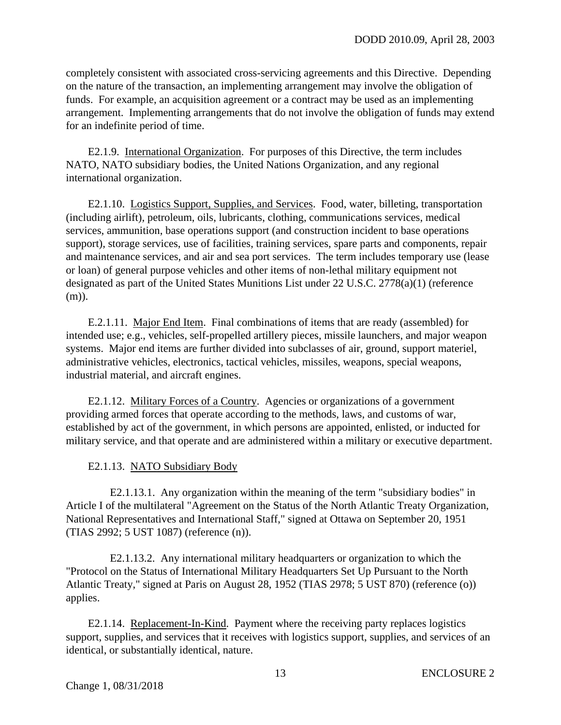completely consistent with associated cross-servicing agreements and this Directive. Depending on the nature of the transaction, an implementing arrangement may involve the obligation of funds. For example, an acquisition agreement or a contract may be used as an implementing arrangement. Implementing arrangements that do not involve the obligation of funds may extend for an indefinite period of time.

E2.1.9. International Organization. For purposes of this Directive, the term includes NATO, NATO subsidiary bodies, the United Nations Organization, and any regional international organization.

E2.1.10. Logistics Support, Supplies, and Services. Food, water, billeting, transportation (including airlift), petroleum, oils, lubricants, clothing, communications services, medical services, ammunition, base operations support (and construction incident to base operations support), storage services, use of facilities, training services, spare parts and components, repair and maintenance services, and air and sea port services. The term includes temporary use (lease or loan) of general purpose vehicles and other items of non-lethal military equipment not designated as part of the United States Munitions List under 22 U.S.C. 2778(a)(1) (reference (m)).

E.2.1.11. Major End Item. Final combinations of items that are ready (assembled) for intended use; e.g., vehicles, self-propelled artillery pieces, missile launchers, and major weapon systems. Major end items are further divided into subclasses of air, ground, support materiel, administrative vehicles, electronics, tactical vehicles, missiles, weapons, special weapons, industrial material, and aircraft engines.

E2.1.12. Military Forces of a Country. Agencies or organizations of a government providing armed forces that operate according to the methods, laws, and customs of war, established by act of the government, in which persons are appointed, enlisted, or inducted for military service, and that operate and are administered within a military or executive department.

E2.1.13. NATO Subsidiary Body

E2.1.13.1. Any organization within the meaning of the term "subsidiary bodies" in Article I of the multilateral "Agreement on the Status of the North Atlantic Treaty Organization, National Representatives and International Staff," signed at Ottawa on September 20, 1951 (TIAS 2992; 5 UST 1087) (reference (n)).

E2.1.13.2. Any international military headquarters or organization to which the "Protocol on the Status of International Military Headquarters Set Up Pursuant to the North Atlantic Treaty," signed at Paris on August 28, 1952 (TIAS 2978; 5 UST 870) (reference (o)) applies.

E2.1.14. Replacement-In-Kind. Payment where the receiving party replaces logistics support, supplies, and services that it receives with logistics support, supplies, and services of an identical, or substantially identical, nature.